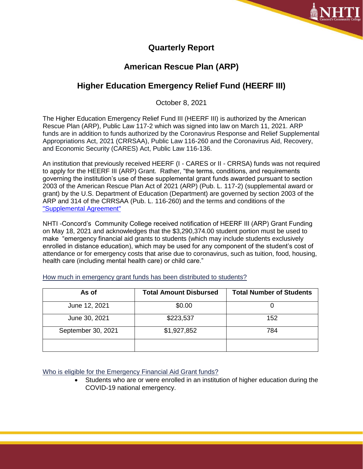

## **Quarterly Report**

## **American Rescue Plan (ARP)**

# **Higher Education Emergency Relief Fund (HEERF III)**

October 8, 2021

The Higher Education Emergency Relief Fund III (HEERF III) is authorized by the American Rescue Plan (ARP), Public Law 117-2 which was signed into law on March 11, 2021. ARP funds are in addition to funds authorized by the Coronavirus Response and Relief Supplemental Appropriations Act, 2021 (CRRSAA), Public Law 116-260 and the Coronavirus Aid, Recovery, and Economic Security (CARES) Act, Public Law 116-136.

An institution that previously received HEERF (I - CARES or II - CRRSA) funds was not required to apply for the HEERF III (ARP) Grant. Rather, "the terms, conditions, and requirements governing the institution's use of these supplemental grant funds awarded pursuant to section 2003 of the American Rescue Plan Act of 2021 (ARP) (Pub. L. 117-2) (supplemental award or grant) by the U.S. Department of Education (Department) are governed by section 2003 of the ARP and 314 of the CRRSAA (Pub. L. 116-260) and the terms and conditions of the ["Supplemental Agreement"](https://www2.ed.gov/about/offices/list/ope/arpheerfiiisupplementa1student.pdf)

NHTI -Concord's Community College received notification of HEERF III (ARP) Grant Funding on May 18, 2021 and acknowledges that the \$3,290,374.00 student portion must be used to make "emergency financial aid grants to students (which may include students exclusively enrolled in distance education), which may be used for any component of the student's cost of attendance or for emergency costs that arise due to coronavirus, such as tuition, food, housing, health care (including mental health care) or child care."

| As of              | <b>Total Amount Disbursed</b> | <b>Total Number of Students</b> |
|--------------------|-------------------------------|---------------------------------|
| June 12, 2021      | \$0.00                        |                                 |
| June 30, 2021      | \$223,537                     | 152                             |
| September 30, 2021 | \$1,927,852                   | 784                             |
|                    |                               |                                 |

How much in emergency grant funds has been distributed to students?

Who is eligible for the Emergency Financial Aid Grant funds?

• Students who are or were enrolled in an institution of higher education during the COVID-19 national emergency.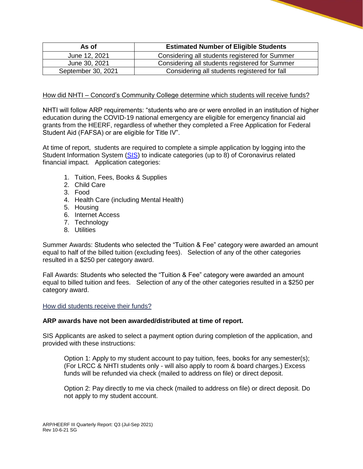| As of              | <b>Estimated Number of Eligible Students</b>   |  |
|--------------------|------------------------------------------------|--|
| June 12, 2021      | Considering all students registered for Summer |  |
| June 30, 2021      | Considering all students registered for Summer |  |
| September 30, 2021 | Considering all students registered for fall   |  |

### How did NHTI – Concord's Community College determine which students will receive funds?

NHTI will follow ARP requirements: "students who are or were enrolled in an institution of higher education during the COVID-19 national emergency are eligible for emergency financial aid grants from the HEERF, regardless of whether they completed a Free Application for Federal Student Aid (FAFSA) or are eligible for Title IV".

At time of report, students are required to complete a simple application by logging into the Student Information System [\(SIS\)](https://login.ccsnh.edu/authenticationendpoint/login.do?Name=PreLoginRequestProcessor&commonAuthCallerPath=%252Fcas%252Flogin&forceAuth=false&passiveAuth=false&service=https%3A%2F%2Fsso.ccsnh.edu%2Fssomanager%2Fc%2FSSB&tenantDomain=carbon.super&sessionDataKey=42798971-514f-4f6c-93f5-0b80472ef7e5&relyingParty=BEISSSOManager&type=cas&sp=BEISSSOManager&isSaaSApp=false&authenticators=BasicAuthenticator:LOCAL) to indicate categories (up to 8) of Coronavirus related financial impact. Application categories:

- 1. Tuition, Fees, Books & Supplies
- 2. Child Care
- 3. Food
- 4. Health Care (including Mental Health)
- 5. Housing
- 6. Internet Access
- 7. Technology
- 8. Utilities

Summer Awards: Students who selected the "Tuition & Fee" category were awarded an amount equal to half of the billed tuition (excluding fees). Selection of any of the other categories resulted in a \$250 per category award.

Fall Awards: Students who selected the "Tuition & Fee" category were awarded an amount equal to billed tuition and fees. Selection of any of the other categories resulted in a \$250 per category award.

How did students receive their funds?

#### **ARP awards have not been awarded/distributed at time of report.**

SIS Applicants are asked to select a payment option during completion of the application, and provided with these instructions:

Option 1: Apply to my student account to pay tuition, fees, books for any semester(s); (For LRCC & NHTI students only - will also apply to room & board charges.) Excess funds will be refunded via check (mailed to address on file) or direct deposit.

Option 2: Pay directly to me via check (mailed to address on file) or direct deposit. Do not apply to my student account.